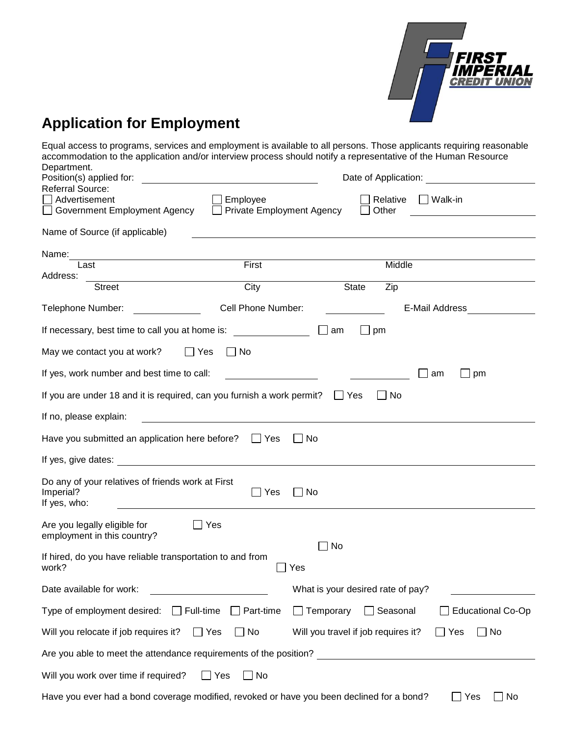

# **Application for Employment**

Equal access to programs, services and employment is available to all persons. Those applicants requiring reasonable accommodation to the application and/or interview process should notify a representative of the Human Resource Department.

| Position(s) applied for:                                                                  |                                             |                                     | Date of Application: |                          |
|-------------------------------------------------------------------------------------------|---------------------------------------------|-------------------------------------|----------------------|--------------------------|
| <b>Referral Source:</b>                                                                   |                                             |                                     |                      |                          |
| Advertisement                                                                             | Employee                                    |                                     | Relative             | Walk-in                  |
| Government Employment Agency                                                              | Private Employment Agency                   |                                     | Other                |                          |
| Name of Source (if applicable)                                                            |                                             |                                     |                      |                          |
| Name:                                                                                     |                                             |                                     |                      |                          |
| Last                                                                                      | First                                       |                                     | Middle               |                          |
| Address:                                                                                  |                                             |                                     |                      |                          |
| <b>Street</b>                                                                             | City                                        | <b>State</b>                        | Zip                  |                          |
| Telephone Number:                                                                         | Cell Phone Number:                          |                                     |                      | E-Mail Address           |
| If necessary, best time to call you at home is:                                           |                                             | l lam                               | $\Box$ pm            |                          |
| May we contact you at work?<br>$\Box$ Yes                                                 | $\blacksquare$ No                           |                                     |                      |                          |
| If yes, work number and best time to call:                                                | <u> 1980 - Johann Barbara, martin a</u>     |                                     |                      | pm<br>am                 |
| If you are under 18 and it is required, can you furnish a work permit?                    |                                             | <b>Yes</b>                          | No.                  |                          |
| If no, please explain:                                                                    |                                             |                                     |                      |                          |
| Have you submitted an application here before?                                            | $\Box$ Yes                                  | -No                                 |                      |                          |
| If yes, give dates:                                                                       | <u> 1980 - Jan Samuel Barbara, martin a</u> |                                     |                      |                          |
| Do any of your relatives of friends work at First<br>Imperial?<br>If yes, who:            | $\Box$ Yes                                  | $\Box$ No                           |                      |                          |
| Are you legally eligible for<br>employment in this country?                               | Yes                                         |                                     |                      |                          |
| If hired, do you have reliable transportation to and from<br>work?                        |                                             | ∃ No<br>Yes                         |                      |                          |
| Date available for work:                                                                  |                                             | What is your desired rate of pay?   |                      |                          |
| Type of employment desired: $\Box$ Full-time                                              | $\Box$ Part-time                            | $\Box$ Temporary                    | $\Box$ Seasonal      | <b>Educational Co-Op</b> |
| Will you relocate if job requires it?                                                     | $\Box$ No<br>$\Box$ Yes                     | Will you travel if job requires it? |                      | $\Box$ No<br>$\Box$ Yes  |
| Are you able to meet the attendance requirements of the position?                         |                                             |                                     |                      |                          |
| Will you work over time if required?                                                      | $\Box$ Yes<br>$\Box$ No                     |                                     |                      |                          |
| Have you ever had a bond coverage modified, revoked or have you been declined for a bond? |                                             |                                     |                      | Yes<br>No                |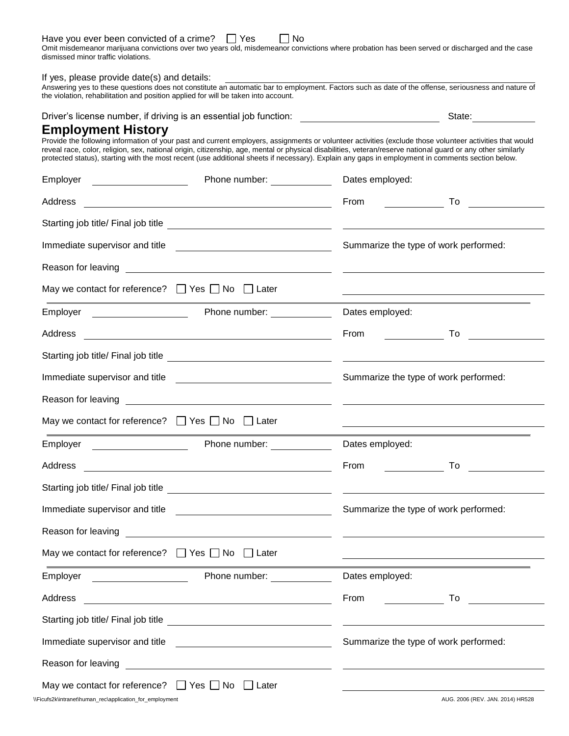| Have you ever been convicted of a crime? | $\sqsupset$ Yes | $\Box$ No |
|------------------------------------------|-----------------|-----------|
|------------------------------------------|-----------------|-----------|

Omit misdemeanor marijuana convictions over two years old, misdemeanor convictions where probation has been served or discharged and the case dismissed minor traffic violations.

If yes, please provide date(s) and details:

Answering yes to these questions does not constitute an automatic bar to employment. Factors such as date of the offense, seriousness and nature of the violation, rehabilitation and position applied for will be taken into account.

Driver's license number, if driving is an essential job function: State: State:

### **Employment History**

Provide the following information of your past and current employers, assignments or volunteer activities (exclude those volunteer activities that would reveal race, color, religion, sex, national origin, citizenship, age, mental or physical disabilities, veteran/reserve national guard or any other similarly protected status), starting with the most recent (use additional sheets if necessary). Explain any gaps in employment in comments section below.

| Employer                                                                                                                                                                                                                             | Phone number: Note that the property of the property of the property of the property of the property of the property of the property of the property of the property of the property of the property of the property of the pr            | Dates employed:                                                                                                       |                                         |
|--------------------------------------------------------------------------------------------------------------------------------------------------------------------------------------------------------------------------------------|-------------------------------------------------------------------------------------------------------------------------------------------------------------------------------------------------------------------------------------------|-----------------------------------------------------------------------------------------------------------------------|-----------------------------------------|
| Address                                                                                                                                                                                                                              |                                                                                                                                                                                                                                           | From                                                                                                                  | To                                      |
|                                                                                                                                                                                                                                      |                                                                                                                                                                                                                                           |                                                                                                                       |                                         |
|                                                                                                                                                                                                                                      | Immediate supervisor and title<br><u> and</u> the <u>contract and title</u> and the substitution of the superman and the superman of the superman superman and the superman superman of the superman supermane supermane supermane superm | Summarize the type of work performed:                                                                                 |                                         |
| Reason for leaving                                                                                                                                                                                                                   | <u> 1980 - Andrea Station, amerikansk politik (d. 1980)</u>                                                                                                                                                                               |                                                                                                                       |                                         |
| May we contact for reference? $\Box$ Yes $\Box$ No $\Box$ Later                                                                                                                                                                      |                                                                                                                                                                                                                                           |                                                                                                                       |                                         |
| Employer <u>example and the set of the set of the set of the set of the set of the set of the set of the set of the set of the set of the set of the set of the set of the set of the set of the set of the set of the set of th</u> | Phone number: Note that the property                                                                                                                                                                                                      | Dates employed:                                                                                                       |                                         |
| Address                                                                                                                                                                                                                              | <u> 1989 - Johann Stoff, amerikansk politiker (d. 1989)</u>                                                                                                                                                                               | From                                                                                                                  | To                                      |
|                                                                                                                                                                                                                                      |                                                                                                                                                                                                                                           |                                                                                                                       |                                         |
|                                                                                                                                                                                                                                      |                                                                                                                                                                                                                                           | Summarize the type of work performed:                                                                                 |                                         |
|                                                                                                                                                                                                                                      | Reason for leaving <u>example and the contract of the contract of the contract of the contract of the contract of the contract of the contract of the contract of the contract of the contract of the contract of the contract o</u>      |                                                                                                                       |                                         |
| May we contact for reference? $\Box$ Yes $\Box$ No $\Box$ Later                                                                                                                                                                      |                                                                                                                                                                                                                                           |                                                                                                                       |                                         |
|                                                                                                                                                                                                                                      | Employer <b>Employer</b> Phone number:                                                                                                                                                                                                    | Dates employed:                                                                                                       |                                         |
| Address                                                                                                                                                                                                                              | <u> 1989 - Andrea State Barbara, amerikan personal di sebagai personal di sebagai personal di sebagai personal d</u>                                                                                                                      | From                                                                                                                  | To                                      |
|                                                                                                                                                                                                                                      |                                                                                                                                                                                                                                           | <u> 1989 - Johann Harry Harry Harry Harry Harry Harry Harry Harry Harry Harry Harry Harry Harry Harry Harry Harry</u> |                                         |
|                                                                                                                                                                                                                                      |                                                                                                                                                                                                                                           | Summarize the type of work performed:                                                                                 |                                         |
| Reason for leaving                                                                                                                                                                                                                   | <u> Alexandro de la contrada de la contrada de la contrada de la contrada de la contrada de la contrada de la co</u>                                                                                                                      |                                                                                                                       |                                         |
| May we contact for reference? $\Box$ Yes $\Box$ No $\Box$ Later                                                                                                                                                                      |                                                                                                                                                                                                                                           |                                                                                                                       |                                         |
| Employer                                                                                                                                                                                                                             | Phone number: _________                                                                                                                                                                                                                   | Dates employed:                                                                                                       |                                         |
| Address                                                                                                                                                                                                                              | <u> 1980 - Andrea Andrew Maria (h. 1980).</u>                                                                                                                                                                                             | From                                                                                                                  | To<br><u>and the state of the state</u> |
|                                                                                                                                                                                                                                      |                                                                                                                                                                                                                                           |                                                                                                                       |                                         |
|                                                                                                                                                                                                                                      |                                                                                                                                                                                                                                           | Summarize the type of work performed:                                                                                 |                                         |
| Reason for leaving                                                                                                                                                                                                                   | <u> 1980 - Jan Samuel Barbara, político establecer a la propia de la propia de la propia de la propia de la propi</u>                                                                                                                     |                                                                                                                       |                                         |
| May we contact for reference? $\Box$ Yes $\Box$ No $\Box$ Later<br>\\Ficufs2k\intranet\human_rec\application_for_employment                                                                                                          |                                                                                                                                                                                                                                           |                                                                                                                       | AUG. 2006 (REV. JAN. 2014) HR528        |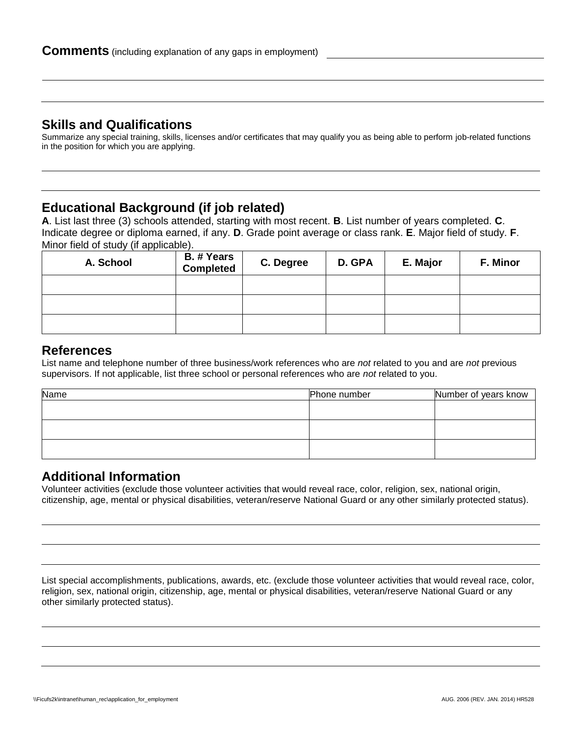## **Skills and Qualifications**

Summarize any special training, skills, licenses and/or certificates that may qualify you as being able to perform job-related functions in the position for which you are applying.

## **Educational Background (if job related)**

**A**. List last three (3) schools attended, starting with most recent. **B**. List number of years completed. **C**. Indicate degree or diploma earned, if any. **D**. Grade point average or class rank. **E**. Major field of study. **F**. Minor field of study (if applicable).

| A. School | B. # Years<br><b>Completed</b> | C. Degree | D. GPA | E. Major | F. Minor |
|-----------|--------------------------------|-----------|--------|----------|----------|
|           |                                |           |        |          |          |
|           |                                |           |        |          |          |
|           |                                |           |        |          |          |

## **References**

List name and telephone number of three business/work references who are *not* related to you and are *not* previous supervisors. If not applicable, list three school or personal references who are *not* related to you.

| Name | Phone number | Number of years know |
|------|--------------|----------------------|
|      |              |                      |
|      |              |                      |
|      |              |                      |
|      |              |                      |
|      |              |                      |

## **Additional Information**

Volunteer activities (exclude those volunteer activities that would reveal race, color, religion, sex, national origin, citizenship, age, mental or physical disabilities, veteran/reserve National Guard or any other similarly protected status).

List special accomplishments, publications, awards, etc. (exclude those volunteer activities that would reveal race, color, religion, sex, national origin, citizenship, age, mental or physical disabilities, veteran/reserve National Guard or any other similarly protected status).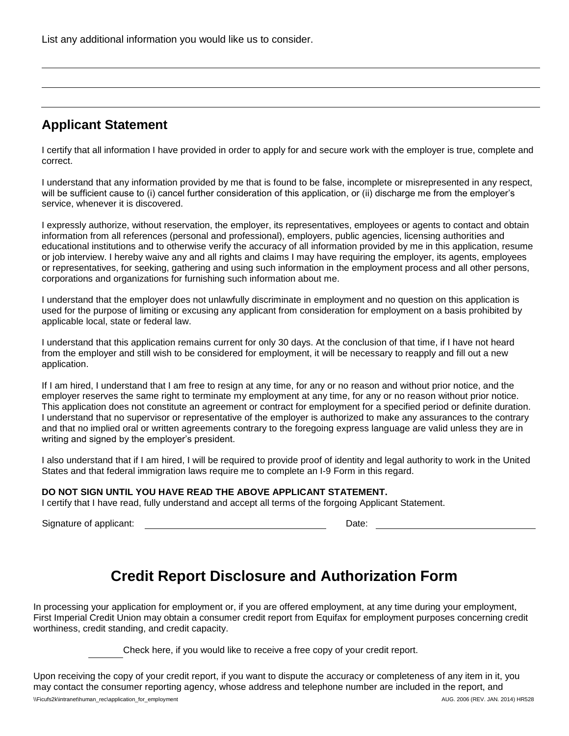List any additional information you would like us to consider.

## **Applicant Statement**

I certify that all information I have provided in order to apply for and secure work with the employer is true, complete and correct.

I understand that any information provided by me that is found to be false, incomplete or misrepresented in any respect, will be sufficient cause to (i) cancel further consideration of this application, or (ii) discharge me from the employer's service, whenever it is discovered.

I expressly authorize, without reservation, the employer, its representatives, employees or agents to contact and obtain information from all references (personal and professional), employers, public agencies, licensing authorities and educational institutions and to otherwise verify the accuracy of all information provided by me in this application, resume or job interview. I hereby waive any and all rights and claims I may have requiring the employer, its agents, employees or representatives, for seeking, gathering and using such information in the employment process and all other persons, corporations and organizations for furnishing such information about me.

I understand that the employer does not unlawfully discriminate in employment and no question on this application is used for the purpose of limiting or excusing any applicant from consideration for employment on a basis prohibited by applicable local, state or federal law.

I understand that this application remains current for only 30 days. At the conclusion of that time, if I have not heard from the employer and still wish to be considered for employment, it will be necessary to reapply and fill out a new application.

If I am hired, I understand that I am free to resign at any time, for any or no reason and without prior notice, and the employer reserves the same right to terminate my employment at any time, for any or no reason without prior notice. This application does not constitute an agreement or contract for employment for a specified period or definite duration. I understand that no supervisor or representative of the employer is authorized to make any assurances to the contrary and that no implied oral or written agreements contrary to the foregoing express language are valid unless they are in writing and signed by the employer's president.

I also understand that if I am hired, I will be required to provide proof of identity and legal authority to work in the United States and that federal immigration laws require me to complete an I-9 Form in this regard.

#### **DO NOT SIGN UNTIL YOU HAVE READ THE ABOVE APPLICANT STATEMENT.**

I certify that I have read, fully understand and accept all terms of the forgoing Applicant Statement.

Signature of applicant:  $\blacksquare$ 

# **Credit Report Disclosure and Authorization Form**

In processing your application for employment or, if you are offered employment, at any time during your employment, First Imperial Credit Union may obtain a consumer credit report from Equifax for employment purposes concerning credit worthiness, credit standing, and credit capacity.

Check here, if you would like to receive a free copy of your credit report.

Upon receiving the copy of your credit report, if you want to dispute the accuracy or completeness of any item in it, you may contact the consumer reporting agency, whose address and telephone number are included in the report, and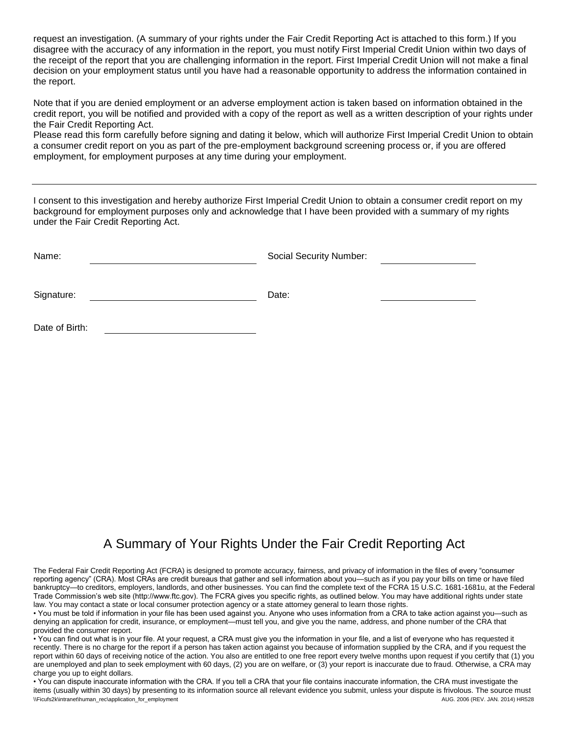request an investigation. (A summary of your rights under the Fair Credit Reporting Act is attached to this form.) If you disagree with the accuracy of any information in the report, you must notify First Imperial Credit Union within two days of the receipt of the report that you are challenging information in the report. First Imperial Credit Union will not make a final decision on your employment status until you have had a reasonable opportunity to address the information contained in the report.

Note that if you are denied employment or an adverse employment action is taken based on information obtained in the credit report, you will be notified and provided with a copy of the report as well as a written description of your rights under the Fair Credit Reporting Act.

Please read this form carefully before signing and dating it below, which will authorize First Imperial Credit Union to obtain a consumer credit report on you as part of the pre-employment background screening process or, if you are offered employment, for employment purposes at any time during your employment.

I consent to this investigation and hereby authorize First Imperial Credit Union to obtain a consumer credit report on my background for employment purposes only and acknowledge that I have been provided with a summary of my rights under the Fair Credit Reporting Act.

| Name:          |  | <b>Social Security Number:</b> |  |  |
|----------------|--|--------------------------------|--|--|
|                |  |                                |  |  |
| Signature:     |  | Date:                          |  |  |
|                |  |                                |  |  |
| Date of Birth: |  |                                |  |  |

## A Summary of Your Rights Under the Fair Credit Reporting Act

The Federal Fair Credit Reporting Act (FCRA) is designed to promote accuracy, fairness, and privacy of information in the files of every "consumer reporting agency" (CRA). Most CRAs are credit bureaus that gather and sell information about you—such as if you pay your bills on time or have filed bankruptcy—to creditors, employers, landlords, and other businesses. You can find the complete text of the FCRA 15 U.S.C. 1681-1681u, at the Federal Trade Commission's web site (http://www.ftc.gov). The FCRA gives you specific rights, as outlined below. You may have additional rights under state law. You may contact a state or local consumer protection agency or a state attorney general to learn those rights.

• You must be told if information in your file has been used against you. Anyone who uses information from a CRA to take action against you—such as denying an application for credit, insurance, or employment—must tell you, and give you the name, address, and phone number of the CRA that provided the consumer report.

• You can find out what is in your file. At your request, a CRA must give you the information in your file, and a list of everyone who has requested it recently. There is no charge for the report if a person has taken action against you because of information supplied by the CRA, and if you request the report within 60 days of receiving notice of the action. You also are entitled to one free report every twelve months upon request if you certify that (1) you are unemployed and plan to seek employment with 60 days, (2) you are on welfare, or (3) your report is inaccurate due to fraud. Otherwise, a CRA may charge you up to eight dollars.

\\Ficufs2k\intranet\human\_rec\application\_for\_employment AUG. 2006 (REV. JAN. 2014) HR528 • You can dispute inaccurate information with the CRA. If you tell a CRA that your file contains inaccurate information, the CRA must investigate the items (usually within 30 days) by presenting to its information source all relevant evidence you submit, unless your dispute is frivolous. The source must